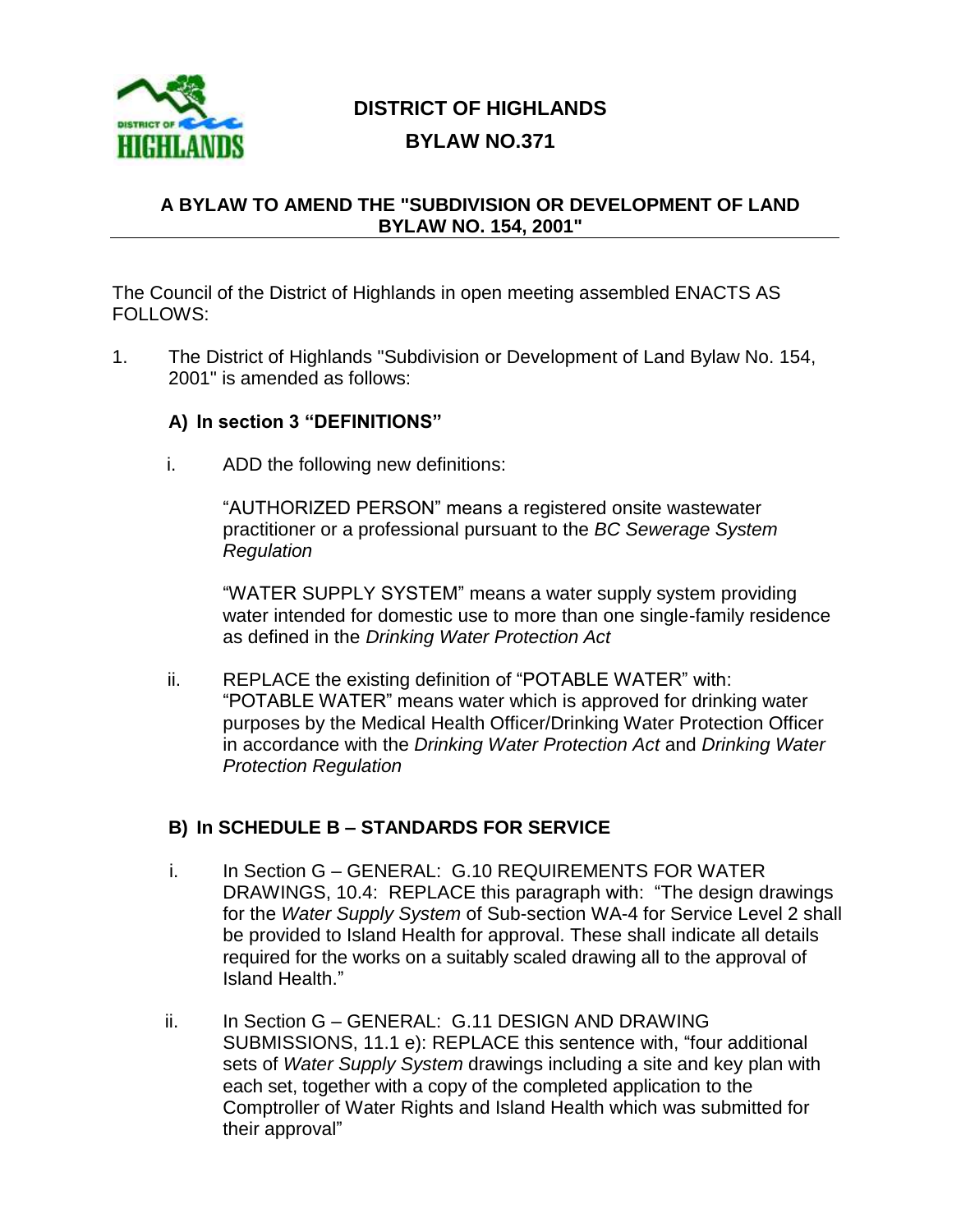

## **DISTRICT OF HIGHLANDS BYLAW NO.371**

## **A BYLAW TO AMEND THE "SUBDIVISION OR DEVELOPMENT OF LAND BYLAW NO. 154, 2001"**

The Council of the District of Highlands in open meeting assembled ENACTS AS FOLLOWS:

1. The District of Highlands "Subdivision or Development of Land Bylaw No. 154, 2001" is amended as follows:

## **A) In section 3 "DEFINITIONS"**

i. ADD the following new definitions:

"AUTHORIZED PERSON" means a registered onsite wastewater practitioner or a professional pursuant to the *BC Sewerage System Regulation*

"WATER SUPPLY SYSTEM" means a water supply system providing water intended for domestic use to more than one single-family residence as defined in the *Drinking Water Protection Act*

ii. REPLACE the existing definition of "POTABLE WATER" with: "POTABLE WATER" means water which is approved for drinking water purposes by the Medical Health Officer/Drinking Water Protection Officer in accordance with the *Drinking Water Protection Act* and *Drinking Water Protection Regulation*

## **B) In SCHEDULE B – STANDARDS FOR SERVICE**

- i. In Section G GENERAL: G.10 REQUIREMENTS FOR WATER DRAWINGS, 10.4: REPLACE this paragraph with: "The design drawings for the *Water Supply System* of Sub-section WA-4 for Service Level 2 shall be provided to Island Health for approval. These shall indicate all details required for the works on a suitably scaled drawing all to the approval of Island Health."
- ii. In Section G GENERAL: G.11 DESIGN AND DRAWING SUBMISSIONS, 11.1 e): REPLACE this sentence with, "four additional sets of *Water Supply System* drawings including a site and key plan with each set, together with a copy of the completed application to the Comptroller of Water Rights and Island Health which was submitted for their approval"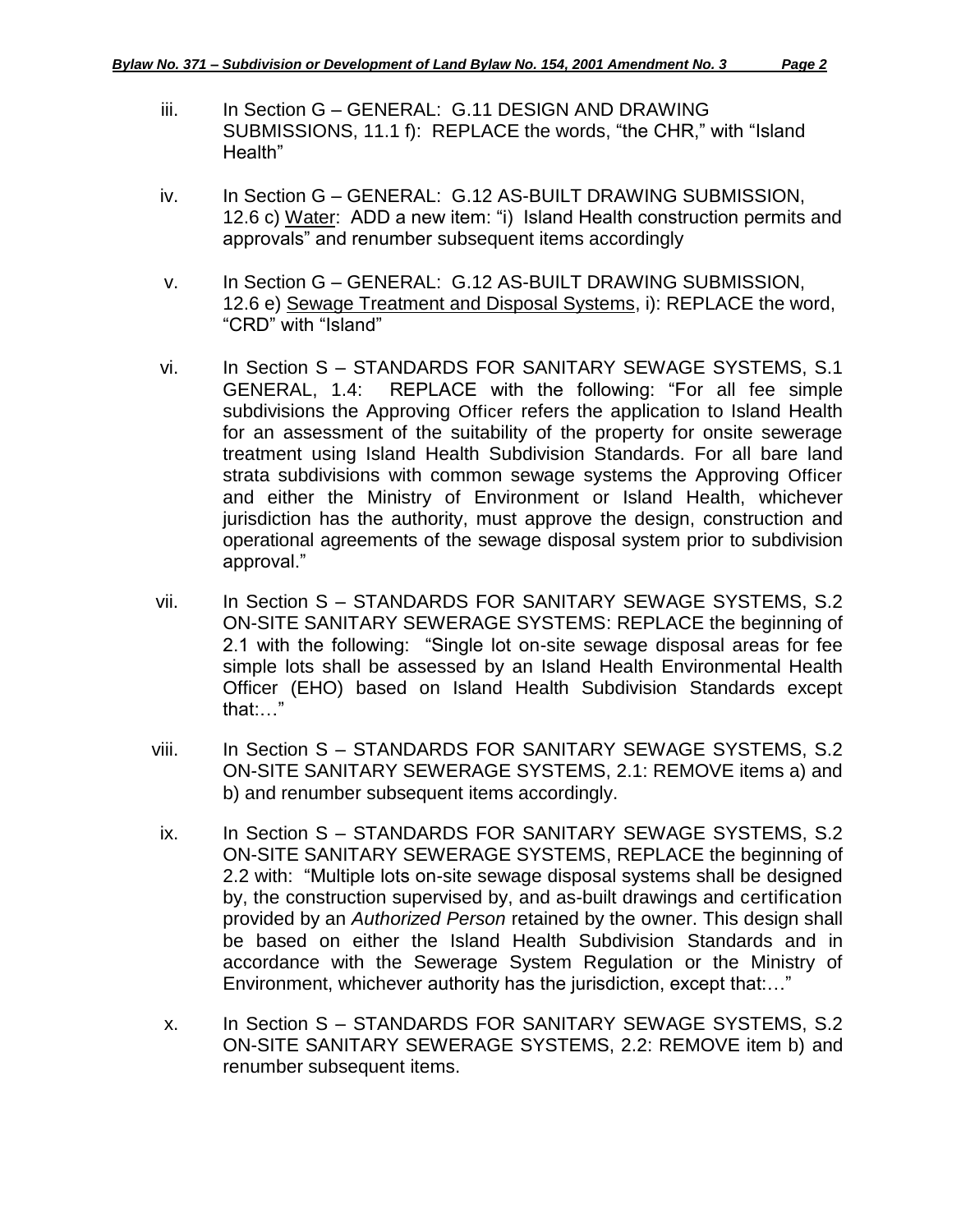- iii. In Section G GENERAL: G.11 DESIGN AND DRAWING SUBMISSIONS, 11.1 f): REPLACE the words, "the CHR," with "Island Health"
- iv. In Section G GENERAL: G.12 AS-BUILT DRAWING SUBMISSION, 12.6 c) Water: ADD a new item: "i) Island Health construction permits and approvals" and renumber subsequent items accordingly
- v. In Section G GENERAL: G.12 AS-BUILT DRAWING SUBMISSION, 12.6 e) Sewage Treatment and Disposal Systems, i): REPLACE the word, "CRD" with "Island"
- vi. In Section S STANDARDS FOR SANITARY SEWAGE SYSTEMS, S.1 GENERAL, 1.4: REPLACE with the following: "For all fee simple subdivisions the Approving Officer refers the application to Island Health for an assessment of the suitability of the property for onsite sewerage treatment using Island Health Subdivision Standards. For all bare land strata subdivisions with common sewage systems the Approving Officer and either the Ministry of Environment or Island Health, whichever jurisdiction has the authority, must approve the design, construction and operational agreements of the sewage disposal system prior to subdivision approval."
- vii. In Section S STANDARDS FOR SANITARY SEWAGE SYSTEMS, S.2 ON-SITE SANITARY SEWERAGE SYSTEMS: REPLACE the beginning of 2.1 with the following: "Single lot on-site sewage disposal areas for fee simple lots shall be assessed by an Island Health Environmental Health Officer (EHO) based on Island Health Subdivision Standards except that:…"
- viii. In Section S STANDARDS FOR SANITARY SEWAGE SYSTEMS, S.2 ON-SITE SANITARY SEWERAGE SYSTEMS, 2.1: REMOVE items a) and b) and renumber subsequent items accordingly.
- ix. In Section S STANDARDS FOR SANITARY SEWAGE SYSTEMS, S.2 ON-SITE SANITARY SEWERAGE SYSTEMS, REPLACE the beginning of 2.2 with: "Multiple lots on-site sewage disposal systems shall be designed by, the construction supervised by, and as-built drawings and certification provided by an *Authorized Person* retained by the owner. This design shall be based on either the Island Health Subdivision Standards and in accordance with the Sewerage System Regulation or the Ministry of Environment, whichever authority has the jurisdiction, except that:…"
- x. In Section S STANDARDS FOR SANITARY SEWAGE SYSTEMS, S.2 ON-SITE SANITARY SEWERAGE SYSTEMS, 2.2: REMOVE item b) and renumber subsequent items.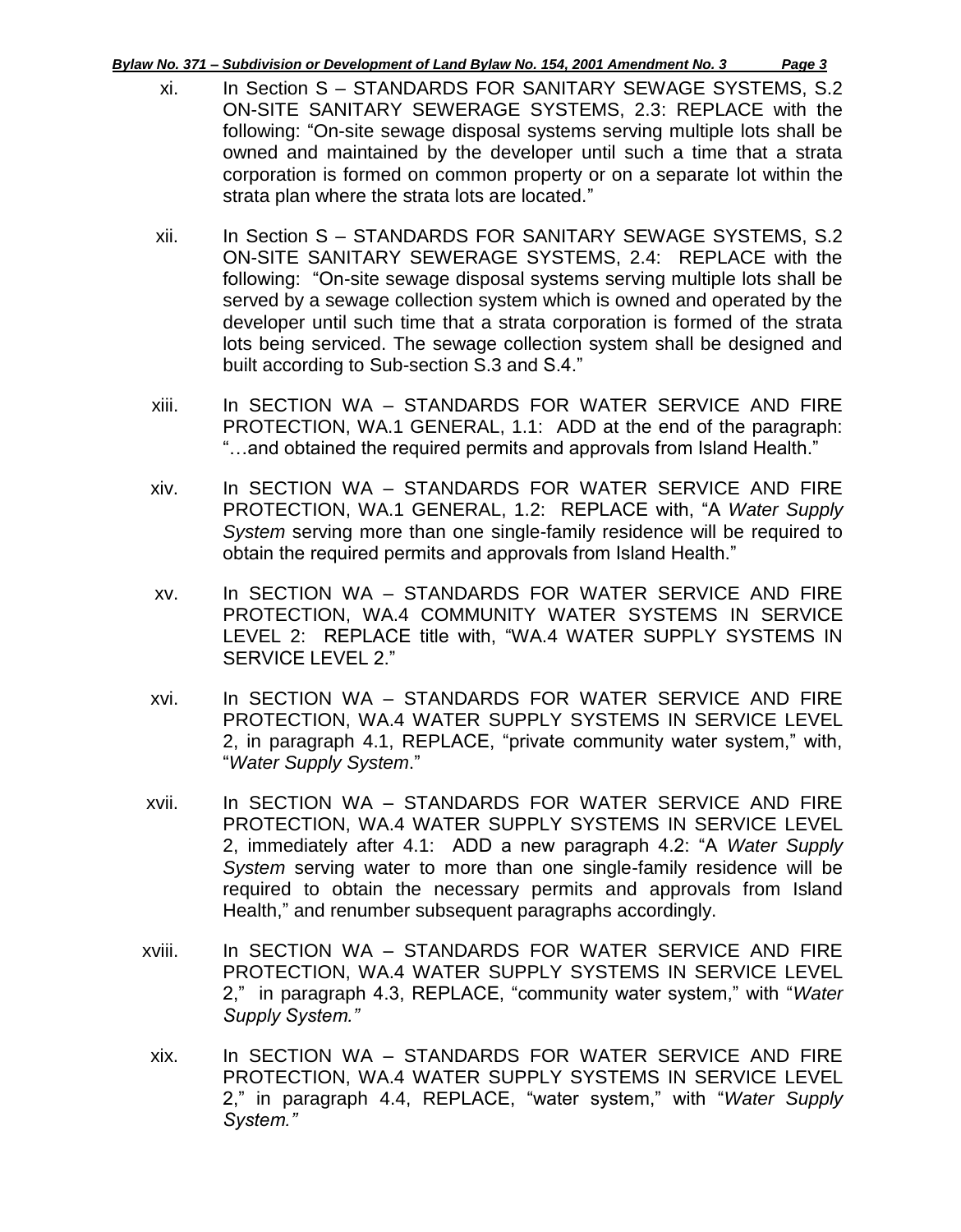*Bylaw No. 371 – Subdivision or Development of Land Bylaw No. 154, 2001 Amendment No. 3 Page 3*

- 
- xi. In Section S STANDARDS FOR SANITARY SEWAGE SYSTEMS, S.2 ON-SITE SANITARY SEWERAGE SYSTEMS, 2.3: REPLACE with the following: "On-site sewage disposal systems serving multiple lots shall be owned and maintained by the developer until such a time that a strata corporation is formed on common property or on a separate lot within the strata plan where the strata lots are located."
- xii. In Section S STANDARDS FOR SANITARY SEWAGE SYSTEMS, S.2 ON-SITE SANITARY SEWERAGE SYSTEMS, 2.4: REPLACE with the following: "On-site sewage disposal systems serving multiple lots shall be served by a sewage collection system which is owned and operated by the developer until such time that a strata corporation is formed of the strata lots being serviced. The sewage collection system shall be designed and built according to Sub-section S.3 and S.4."
- xiii. In SECTION WA STANDARDS FOR WATER SERVICE AND FIRE PROTECTION, WA.1 GENERAL, 1.1: ADD at the end of the paragraph: "…and obtained the required permits and approvals from Island Health."
- xiv. In SECTION WA STANDARDS FOR WATER SERVICE AND FIRE PROTECTION, WA.1 GENERAL, 1.2: REPLACE with, "A *Water Supply System* serving more than one single-family residence will be required to obtain the required permits and approvals from Island Health."
- xv. In SECTION WA STANDARDS FOR WATER SERVICE AND FIRE PROTECTION, WA.4 COMMUNITY WATER SYSTEMS IN SERVICE LEVEL 2: REPLACE title with, "WA.4 WATER SUPPLY SYSTEMS IN SERVICE LEVEL 2."
- xvi. In SECTION WA STANDARDS FOR WATER SERVICE AND FIRE PROTECTION, WA.4 WATER SUPPLY SYSTEMS IN SERVICE LEVEL 2, in paragraph 4.1, REPLACE, "private community water system," with, "*Water Supply System*."
- xvii. In SECTION WA STANDARDS FOR WATER SERVICE AND FIRE PROTECTION, WA.4 WATER SUPPLY SYSTEMS IN SERVICE LEVEL 2, immediately after 4.1: ADD a new paragraph 4.2: "A *Water Supply System* serving water to more than one single-family residence will be required to obtain the necessary permits and approvals from Island Health," and renumber subsequent paragraphs accordingly.
- xviii. In SECTION WA STANDARDS FOR WATER SERVICE AND FIRE PROTECTION, WA.4 WATER SUPPLY SYSTEMS IN SERVICE LEVEL 2," in paragraph 4.3, REPLACE, "community water system," with "*Water Supply System."*
- xix. In SECTION WA STANDARDS FOR WATER SERVICE AND FIRE PROTECTION, WA.4 WATER SUPPLY SYSTEMS IN SERVICE LEVEL 2," in paragraph 4.4, REPLACE, "water system," with "*Water Supply System."*